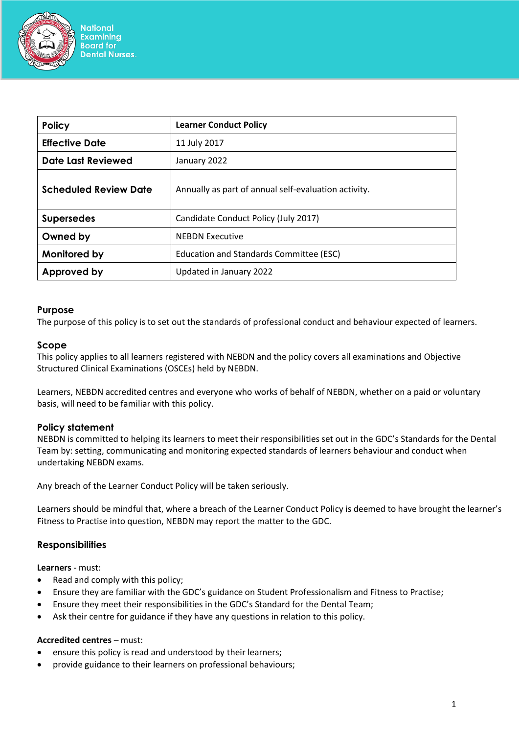

**National Examining Board for Dental Nurses.** 

| <b>Policy</b>                | <b>Learner Conduct Policy</b>                        |
|------------------------------|------------------------------------------------------|
| <b>Effective Date</b>        | 11 July 2017                                         |
| <b>Date Last Reviewed</b>    | January 2022                                         |
| <b>Scheduled Review Date</b> | Annually as part of annual self-evaluation activity. |
| <b>Supersedes</b>            | Candidate Conduct Policy (July 2017)                 |
| Owned by                     | <b>NEBDN Executive</b>                               |
| Monitored by                 | Education and Standards Committee (ESC)              |
| Approved by                  | Updated in January 2022                              |

### **Purpose**

The purpose of this policy is to set out the standards of professional conduct and behaviour expected of learners.

### **Scope**

This policy applies to all learners registered with NEBDN and the policy covers all examinations and Objective Structured Clinical Examinations (OSCEs) held by NEBDN.

Learners, NEBDN accredited centres and everyone who works of behalf of NEBDN, whether on a paid or voluntary basis, will need to be familiar with this policy.

### **Policy statement**

NEBDN is committed to helping its learners to meet their responsibilities set out in the GDC's Standards for the Dental Team by: setting, communicating and monitoring expected standards of learners behaviour and conduct when undertaking NEBDN exams.

Any breach of the Learner Conduct Policy will be taken seriously.

Learners should be mindful that, where a breach of the Learner Conduct Policy is deemed to have brought the learner's Fitness to Practise into question, NEBDN may report the matter to the GDC.

### **Responsibilities**

**Learners** - must:

- Read and comply with this policy;
- Ensure they are familiar with the GDC's guidance on Student Professionalism and Fitness to Practise;
- Ensure they meet their responsibilities in the GDC's Standard for the Dental Team;
- Ask their centre for guidance if they have any questions in relation to this policy.

#### **Accredited centres** – must:

- ensure this policy is read and understood by their learners;
- provide guidance to their learners on professional behaviours;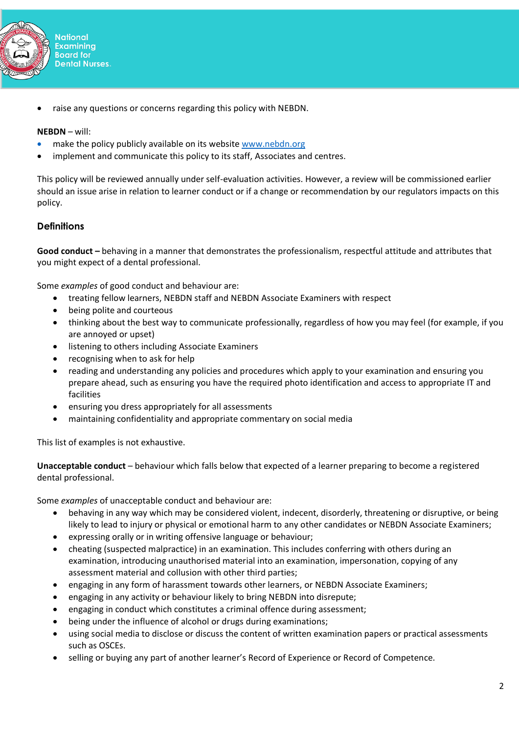

• raise any questions or concerns regarding this policy with NEBDN.

## **NEBDN** – will:

- make the policy publicly available on its website [www.nebdn.org](http://www.nebdn.org/)
- implement and communicate this policy to its staff, Associates and centres.

This policy will be reviewed annually under self-evaluation activities. However, a review will be commissioned earlier should an issue arise in relation to learner conduct or if a change or recommendation by our regulators impacts on this policy.

# **Definitions**

**Good conduct –** behaving in a manner that demonstrates the professionalism, respectful attitude and attributes that you might expect of a dental professional.

Some *examples* of good conduct and behaviour are:

- treating fellow learners, NEBDN staff and NEBDN Associate Examiners with respect
- being polite and courteous
- thinking about the best way to communicate professionally, regardless of how you may feel (for example, if you are annoyed or upset)
- listening to others including Associate Examiners
- recognising when to ask for help
- reading and understanding any policies and procedures which apply to your examination and ensuring you prepare ahead, such as ensuring you have the required photo identification and access to appropriate IT and facilities
- ensuring you dress appropriately for all assessments
- maintaining confidentiality and appropriate commentary on social media

This list of examples is not exhaustive.

**Unacceptable conduct** – behaviour which falls below that expected of a learner preparing to become a registered dental professional.

Some *examples* of unacceptable conduct and behaviour are:

- behaving in any way which may be considered violent, indecent, disorderly, threatening or disruptive, or being likely to lead to injury or physical or emotional harm to any other candidates or NEBDN Associate Examiners;
- expressing orally or in writing offensive language or behaviour;
- cheating (suspected malpractice) in an examination. This includes conferring with others during an examination, introducing unauthorised material into an examination, impersonation, copying of any assessment material and collusion with other third parties;
- engaging in any form of harassment towards other learners, or NEBDN Associate Examiners;
- engaging in any activity or behaviour likely to bring NEBDN into disrepute;
- engaging in conduct which constitutes a criminal offence during assessment;
- being under the influence of alcohol or drugs during examinations;
- using social media to disclose or discuss the content of written examination papers or practical assessments such as OSCEs.
- selling or buying any part of another learner's Record of Experience or Record of Competence.